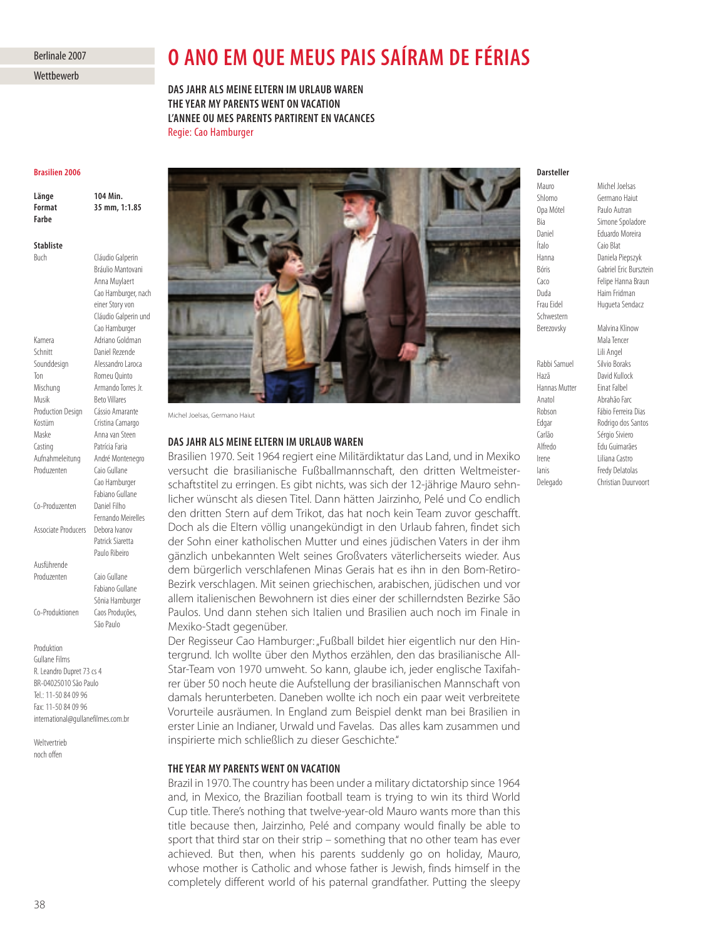# Berlinale 2007

**Wettbewerb** 

# **O ANO EM QUE MEUS PAIS SAÍRAM DE FÉRIAS**<br>DAS JAHR ALS MEINE ELTERN IM URLAUB WAREN

**THE YEAR MY PARENTS WENT ON VACATION L'ANNEE OU MES PARENTS PARTIRENT EN VACANCES** Regie: Cao Hamburger

## **Brasilien 2006**

**Länge** 104 Min.<br>**Format** 35 mm, 1:1.85 104 Min. **Farhe** 

Stabliste **Stabliste**

Cláudio Galperin Bráulio Mantovani Anna Muylaert Cao Hamburger, nach einer Story von Cláudio Galperin und Cao Hamburger Kamera **Adriano Goldman**<br>Schnitt **Channel Rezende** Daniel Rezende Sounddesign Alessandro Laroca Ton Romeu Quinto Mischung Armando Torres Jr. Musik Beto Villares Production Design Cássio Amarante Kostüm Cristina Camargo Maske Anna van Steen Casting Patrícia Faria Aufnahmeleitung André Montenegro Produzenten Caio Gullane Cao Hamburger Fabiano Gullane Co-Produzenten Daniel Filho Fernando Meirelles Associate Producers Debora Ivanov Patrick Siaretta Paulo Ribeiro Produzenten Caio Gullane

> Fabiano Gullane Sônia Hamburger

São Paulo

Co-Produktionen Caos Produções,

Ausführende

Produktion Gullane Films R. Leandro Dupret 73 cs 4 BR-04025010 São Paulo Tel.: 11-50 84 09 96 Fax: 11-50 84 09 96 international@gullanefilmes.com.br

Weltvertrieb noch offen



Michel Joelsas, Germano Haiut

## DAS JAHR ALS MEINE ELTERN IM URLAUB WAREN

**Brasilien 1970. Seit 1964 regiert eine Militärdiktatur das Land, und in Mexiko** versucht die brasilianische Fußballmannschaft, den dritten Weltmeister schafts titel zu erringen. Es gibt nichts, was sich der 12-jährige Mauro sehnlicher wünscht als diesen Titel. Dann hätten Jairzinho, Pelé und Co endlich den dritten Stern auf dem Trikot, das hat noch kein Team zuvor geschafft. Doch als die Eltern völlig unangekündigt in den Urlaub fahren, findet sich der Sohn einer katholischen Mutter und eines jüdischen Vaters in der ihm gänzlich unbekannten Welt seines Großvaters väterlicherseits wieder. Aus dem bürgerlich verschlafenen Minas Gerais hat es ihn in den Bom-Retiro-Bezirk verschlagen. Mit seinen griechischen, arabischen, jüdischen und vor allem italienischen Bewohnern ist dies einer der schillerndsten Bezirke São Paulos. Und dann stehen sich Italien und Brasilien auch noch im Finale in Mexiko-Stadt gegenüber.

Der Regisseur Cao Hamburger: "Fußball bildet hier eigentlich nur den Hintergrund. Ich wollte über den Mythos erzählen, den das brasilianische All-Star-Team von 1970 umweht. So kann, glaube ich, jeder englische Taxifahrer über 50 noch heute die Aufstellung der brasilianischen Mannschaft von damals herunterbeten. Daneben wollte ich noch ein paar weit verbreitete Vorurteile ausräumen. In England zum Beispiel denkt man bei Brasilien in erster Linie an Indianer, Urwald und Favelas. Das alles kam zusammen und inspirierte mich schließlich zu dieser Geschichte."

# THE YEAR MY PARENTS WENT ON VACATION

Brazil in 1970. The country has been under a military dictatorship since 1964 and, in Mexico, the Brazilian football team is trying to win its third World Cup title. There's nothing that twelve-year-old Mauro wants more than this title because then, Jairzinho, Pelé and company would finally be able to sport that third star on their strip – something that no other team has ever achieved. But then, when his parents suddenly go on holiday, Mauro, whose mother is Catholic and whose father is Jewish, finds himself in the completely different world of his paternal grandfather. Putting the sleepy

# **Darsteller**

**Mauro** Opa Mótel Paulo Autran Ítalo Caio Blat Duda Haim Fridman Schwestern Berezovsky Malvina Klinow

Mauro Michel Joelsas<br>Shlomo Germano Haiu Germano Haiut Bia Simone Spoladore Daniel Eduardo Moreira Hanna Daniela Piepszyk Bóris Gabriel Eric Bursztein Caco Felipe Hanna Braun Hugueta Sendacz

Mala Tencer Lili Angel Rabbi Samuel Silvio Boraks Hazã David Kullock Hannas Mutter Einat Falbel Anatol Abrahão Farc Robson Fábio Ferreira Dias Edgar Rodrigo dos Santos Carlão Sérgio Siviero Alfredo Edu Guimarães Irene Liliana Castro Ianis Fredy Delatolas Delegado Christian Duurvoort